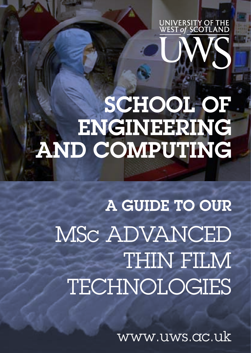

# SCHOOL OF ENGINEERING AND COMPUTING

A GUIDE TO OUR MSc ADVANCED THIN FILM **TECHNOLOGIES** 

www.uws.ac.uk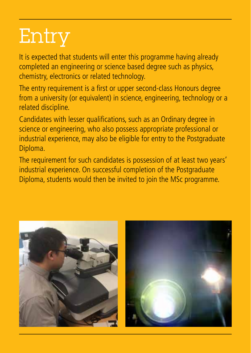# Entry

It is expected that students will enter this programme having already completed an engineering or science based degree such as physics, chemistry, electronics or related technology.

The entry requirement is a first or upper second-class Honours degree from a university (or equivalent) in science, engineering, technology or a related discipline.

Candidates with lesser qualifications, such as an Ordinary degree in science or engineering, who also possess appropriate professional or industrial experience, may also be eligible for entry to the Postgraduate Diploma.

The requirement for such candidates is possession of at least two years' industrial experience. On successful completion of the Postgraduate Diploma, students would then be invited to join the MSc programme.

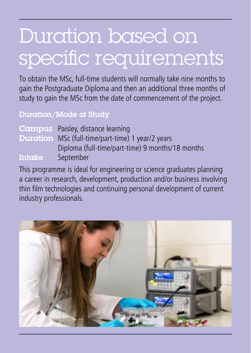## Duration based on specific requirements

To obtain the MSc, full-time students will normally take nine months to gain the Postgraduate Diploma and then an additional three months of study to gain the MSc from the date of commencement of the project.

#### Duration/Mode of Study

|        | <b>Campus</b> Paisley, distance learning                 |
|--------|----------------------------------------------------------|
|        | <b>Duration</b> MSc (full-time/part-time) 1 year/2 years |
|        | Diploma (full-time/part-time) 9 months/18 months         |
| Intake | September                                                |

This programme is ideal for engineering or science graduates planning a career in research, development, production and/or business involving thin film technologies and continuing personal development of current industry professionals.

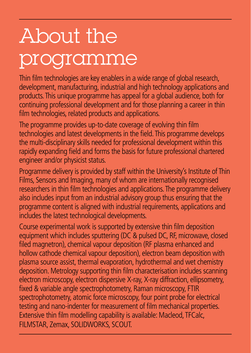# About the programme

Thin film technologies are key enablers in a wide range of global research, development, manufacturing, industrial and high technology applications and products. This unique programme has appeal for a global audience, both for continuing professional development and for those planning a career in thin film technologies, related products and applications.

The programme provides up-to-date coverage of evolving thin film technologies and latest developments in the field. This programme develops the multi-disciplinary skills needed for professional development within this rapidly expanding field and forms the basis for future professional chartered engineer and/or physicist status.

Programme delivery is provided by staff within the University's Institute of Thin Films, Sensors and Imaging, many of whom are internationally recognised researchers in thin film technologies and applications. The programme delivery also includes input from an industrial advisory group thus ensuring that the programme content is aligned with industrial requirements, applications and includes the latest technological developments.

Course experimental work is supported by extensive thin film deposition equipment which includes sputtering (DC & pulsed DC, RF, microwave, closed filed magnetron), chemical vapour deposition (RF plasma enhanced and hollow cathode chemical vapour deposition), electron beam deposition with plasma source assist, thermal evaporation, hydrothermal and wet chemistry deposition. Metrology supporting thin film characterisation includes scanning electron microscopy, electron dispersive X-ray, X-ray diffraction, ellipsometry, fixed & variable angle spectrophotometry, Raman microscopy, FTIR spectrophotometry, atomic force microscopy, four point probe for electrical testing and nano-indenter for measurement of film mechanical properties. Extensive thin film modelling capability is available: Macleod, TFCalc, FILMSTAR, Zemax, SOLIDWORKS, SCOUT.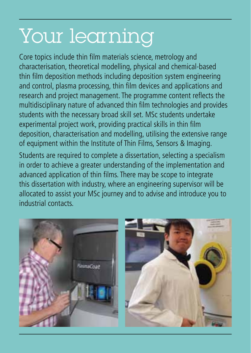### Your learning

Core topics include thin film materials science, metrology and characterisation, theoretical modelling, physical and chemical-based thin film deposition methods including deposition system engineering and control, plasma processing, thin film devices and applications and research and project management. The programme content reflects the multidisciplinary nature of advanced thin film technologies and provides students with the necessary broad skill set. MSc students undertake experimental project work, providing practical skills in thin film deposition, characterisation and modelling, utilising the extensive range of equipment within the Institute of Thin Films, Sensors & Imaging. Students are required to complete a dissertation, selecting a specialism in order to achieve a greater understanding of the implementation and advanced application of thin films. There may be scope to integrate this dissertation with industry, where an engineering supervisor will be

allocated to assist your MSc journey and to advise and introduce you to industrial contacts.

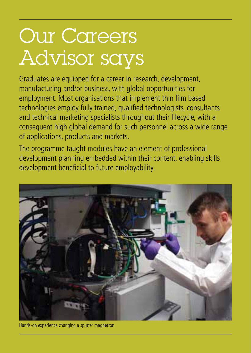### Our Careers Advisor says

Graduates are equipped for a career in research, development, manufacturing and/or business, with global opportunities for employment. Most organisations that implement thin film based technologies employ fully trained, qualified technologists, consultants and technical marketing specialists throughout their lifecycle, with a consequent high global demand for such personnel across a wide range of applications, products and markets.

The programme taught modules have an element of professional development planning embedded within their content, enabling skills development beneficial to future employability.



Hands-on experience changing a sputter magnetron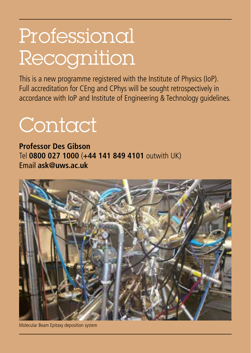### Professional Recognition

This is a new programme registered with the Institute of Physics (IoP). Full accreditation for CEng and CPhys will be sought retrospectively in accordance with IoP and Institute of Engineering & Technology guidelines.

#### Contact

**Professor Des Gibson** Tel **0800 027 1000** (**+44 141 849 4101** outwith UK) Email **ask@uws.ac.uk**



Molecular Beam Epitaxy deposition system